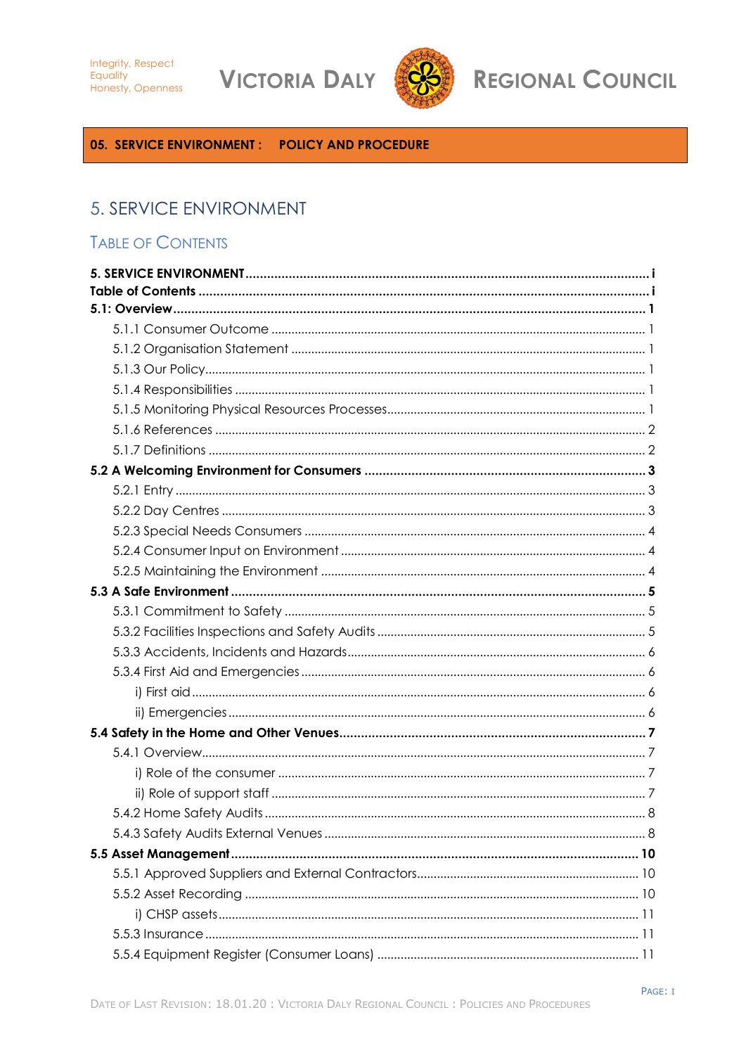**VICTORIA DALY** 



# **REGIONAL COUNCIL**

<span id="page-0-0"></span>**05. SERVICE ENVIRONMENT: POLICY AND PROCEDURE** 

# **5. SERVICE ENVIRONMENT**

# <span id="page-0-1"></span>**TABLE OF CONTENTS**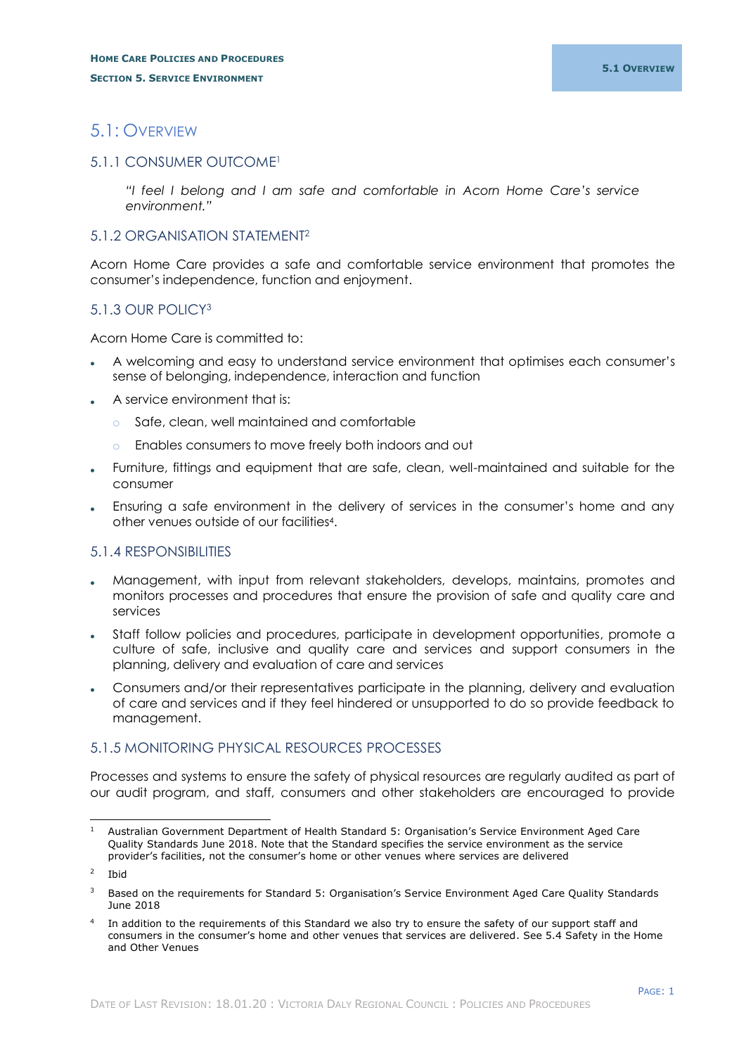# <span id="page-2-0"></span>5.1: OVERVIEW

### <span id="page-2-1"></span>5.1.1 CONSUMER OUTCOME<sup>1</sup>

*"I feel I belong and I am safe and comfortable in Acorn Home Care's service environment."*

#### <span id="page-2-2"></span>5.1.2 ORGANISATION STATEMENT<sup>2</sup>

Acorn Home Care provides a safe and comfortable service environment that promotes the consumer's independence, function and enjoyment.

# <span id="page-2-3"></span>5.1.3 OUR POLICY<sup>3</sup>

Acorn Home Care is committed to:

- A welcoming and easy to understand service environment that optimises each consumer's sense of belonging, independence, interaction and function
- A service environment that is:
	- o Safe, clean, well maintained and comfortable
	- Enables consumers to move freely both indoors and out
- Furniture, fittings and equipment that are safe, clean, well-maintained and suitable for the consumer
- Ensuring a safe environment in the delivery of services in the consumer's home and any other venues outside of our facilities4.

#### <span id="page-2-4"></span>5.1.4 RESPONSIBILITIES

- Management, with input from relevant stakeholders, develops, maintains, promotes and monitors processes and procedures that ensure the provision of safe and quality care and services
- Staff follow policies and procedures, participate in development opportunities, promote a culture of safe, inclusive and quality care and services and support consumers in the planning, delivery and evaluation of care and services
- Consumers and/or their representatives participate in the planning, delivery and evaluation of care and services and if they feel hindered or unsupported to do so provide feedback to management.

# <span id="page-2-5"></span>5.1.5 MONITORING PHYSICAL RESOURCES PROCESSES

Processes and systems to ensure the safety of physical resources are regularly audited as part of our audit program, and staff, consumers and other stakeholders are encouraged to provide

 $\mathbf{1}$ <sup>1</sup> Australian Government Department of Health Standard 5: Organisation's Service Environment Aged Care Quality Standards June 2018. Note that the Standard specifies the service environment as the service provider's facilities, not the consumer's home or other venues where services are delivered

<sup>2</sup> Ibid

<sup>3</sup> Based on the requirements for Standard 5: Organisation's Service Environment Aged Care Quality Standards June 2018

<sup>4</sup> In addition to the requirements of this Standard we also try to ensure the safety of our support staff and consumers in the consumer's home and other venues that services are delivered. See 5.4 Safety in the Home and Other Venues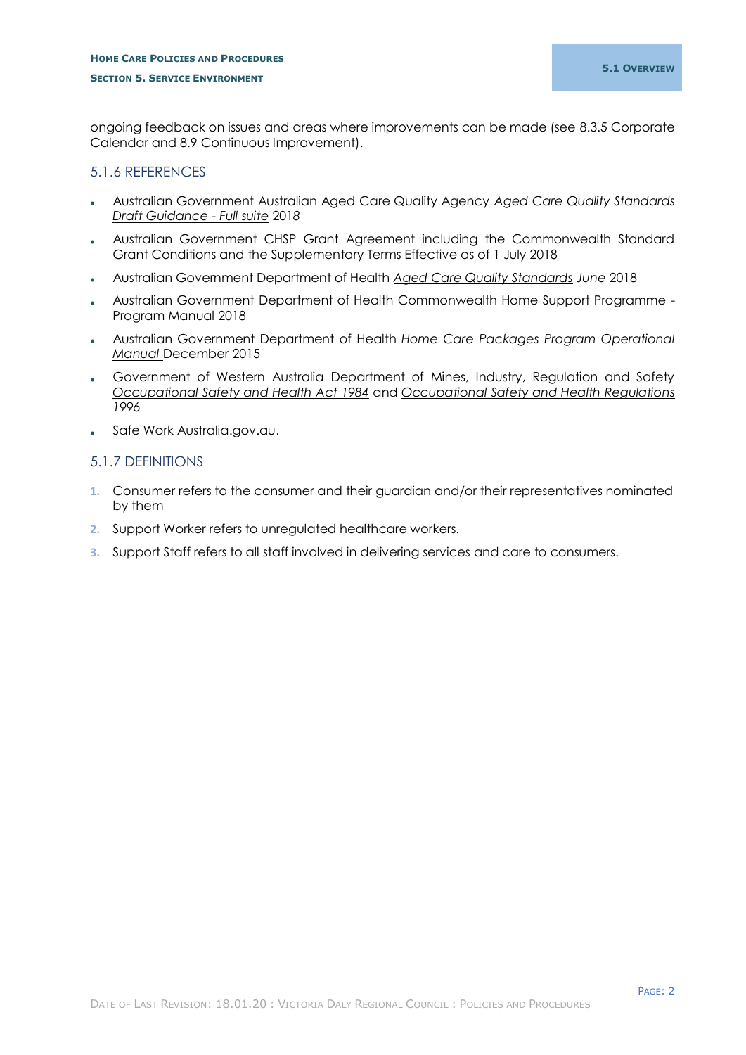ongoing feedback on issues and areas where improvements can be made (see 8.3.5 Corporate Calendar and 8.9 Continuous Improvement).

#### <span id="page-3-0"></span>5.1.6 REFERENCES

- Australian Government Australian Aged Care Quality Agency *Aged Care Quality Standards Draft Guidance - Full suite* 201*8*
- Australian Government CHSP Grant Agreement including the Commonwealth Standard Grant Conditions and the Supplementary Terms Effective as of 1 July 2018
- Australian Government Department of Health *Aged Care Quality Standards June* 2018
- Australian Government Department of Health Commonwealth Home Support Programme Program Manual 2018
- Australian Government Department of Health *Home Care Packages Program Operational Manual* December 2015
- Government of Western Australia Department of Mines, Industry, Regulation and Safety *Occupational Safety and Health Act 1984* and *Occupational Safety and Health Regulations 1996*
- Safe Work Australia.gov.au.

#### <span id="page-3-1"></span>5.1.7 DEFINITIONS

- **1.** Consumer refers to the consumer and their guardian and/or their representatives nominated by them
- **2.** Support Worker refers to unregulated healthcare workers.
- **3.** Support Staff refers to all staff involved in delivering services and care to consumers.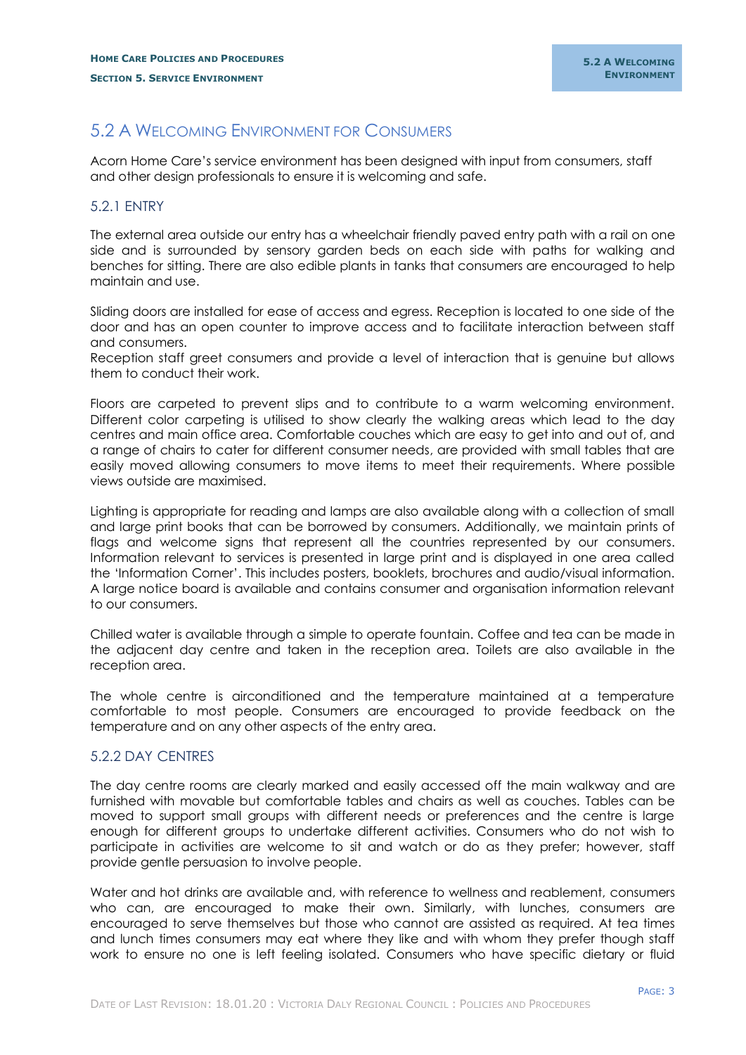# <span id="page-4-0"></span>5.2 A WELCOMING ENVIRONMENT FOR CONSUMERS

Acorn Home Care's service environment has been designed with input from consumers, staff and other design professionals to ensure it is welcoming and safe.

# <span id="page-4-1"></span>5.2.1 ENTRY

The external area outside our entry has a wheelchair friendly paved entry path with a rail on one side and is surrounded by sensory garden beds on each side with paths for walking and benches for sitting. There are also edible plants in tanks that consumers are encouraged to help maintain and use.

Sliding doors are installed for ease of access and egress. Reception is located to one side of the door and has an open counter to improve access and to facilitate interaction between staff and consumers.

Reception staff greet consumers and provide a level of interaction that is genuine but allows them to conduct their work.

Floors are carpeted to prevent slips and to contribute to a warm welcoming environment. Different color carpeting is utilised to show clearly the walking areas which lead to the day centres and main office area. Comfortable couches which are easy to get into and out of, and a range of chairs to cater for different consumer needs, are provided with small tables that are easily moved allowing consumers to move items to meet their requirements. Where possible views outside are maximised.

Lighting is appropriate for reading and lamps are also available along with a collection of small and large print books that can be borrowed by consumers. Additionally, we maintain prints of flags and welcome signs that represent all the countries represented by our consumers. Information relevant to services is presented in large print and is displayed in one area called the 'Information Corner'. This includes posters, booklets, brochures and audio/visual information. A large notice board is available and contains consumer and organisation information relevant to our consumers.

Chilled water is available through a simple to operate fountain. Coffee and tea can be made in the adjacent day centre and taken in the reception area. Toilets are also available in the reception area.

The whole centre is airconditioned and the temperature maintained at a temperature comfortable to most people. Consumers are encouraged to provide feedback on the temperature and on any other aspects of the entry area.

# <span id="page-4-2"></span>5.2.2 DAY CENTRES

The day centre rooms are clearly marked and easily accessed off the main walkway and are furnished with movable but comfortable tables and chairs as well as couches. Tables can be moved to support small groups with different needs or preferences and the centre is large enough for different groups to undertake different activities. Consumers who do not wish to participate in activities are welcome to sit and watch or do as they prefer; however, staff provide gentle persuasion to involve people.

Water and hot drinks are available and, with reference to wellness and reablement, consumers who can, are encouraged to make their own. Similarly, with lunches, consumers are encouraged to serve themselves but those who cannot are assisted as required. At tea times and lunch times consumers may eat where they like and with whom they prefer though staff work to ensure no one is left feeling isolated. Consumers who have specific dietary or fluid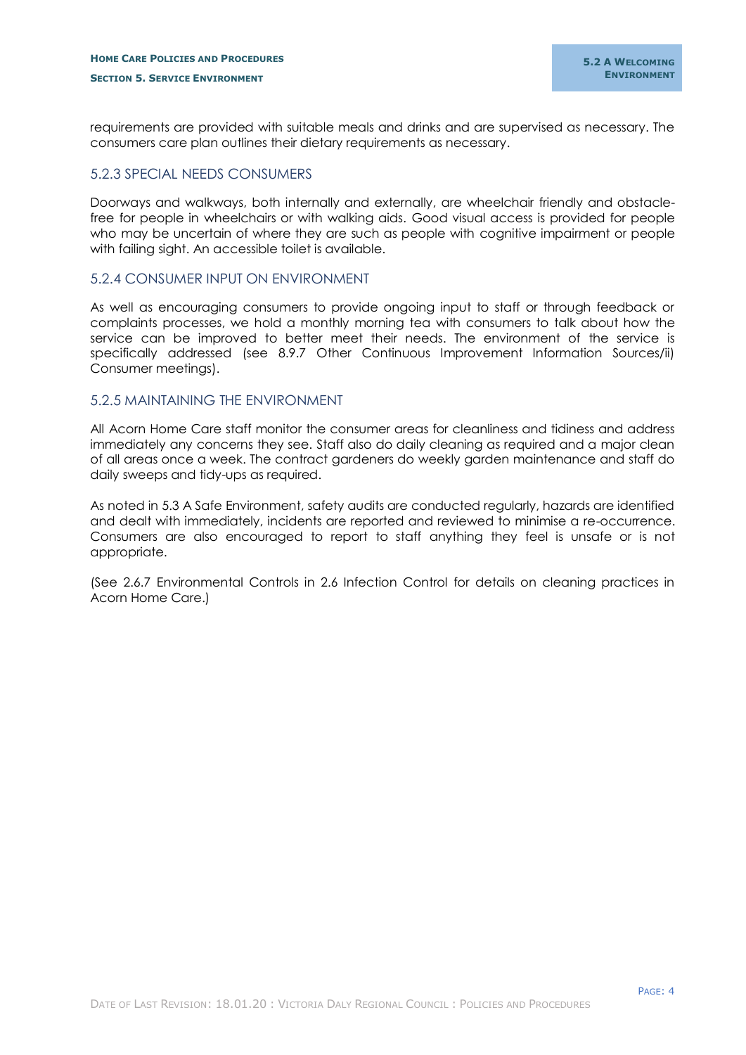requirements are provided with suitable meals and drinks and are supervised as necessary. The consumers care plan outlines their dietary requirements as necessary.

# <span id="page-5-0"></span>5.2.3 SPECIAL NEEDS CONSUMERS

Doorways and walkways, both internally and externally, are wheelchair friendly and obstaclefree for people in wheelchairs or with walking aids. Good visual access is provided for people who may be uncertain of where they are such as people with cognitive impairment or people with failing sight. An accessible toilet is available.

### <span id="page-5-1"></span>5.2.4 CONSUMER INPUT ON ENVIRONMENT

As well as encouraging consumers to provide ongoing input to staff or through feedback or complaints processes, we hold a monthly morning tea with consumers to talk about how the service can be improved to better meet their needs. The environment of the service is specifically addressed (see 8.9.7 Other Continuous Improvement Information Sources/ii) Consumer meetings).

# <span id="page-5-2"></span>5.2.5 MAINTAINING THE ENVIRONMENT

All Acorn Home Care staff monitor the consumer areas for cleanliness and tidiness and address immediately any concerns they see. Staff also do daily cleaning as required and a major clean of all areas once a week. The contract gardeners do weekly garden maintenance and staff do daily sweeps and tidy-ups as required.

As noted in 5.3 A Safe Environment, safety audits are conducted regularly, hazards are identified and dealt with immediately, incidents are reported and reviewed to minimise a re-occurrence. Consumers are also encouraged to report to staff anything they feel is unsafe or is not appropriate.

(See 2.6.7 Environmental Controls in 2.6 Infection Control for details on cleaning practices in Acorn Home Care.)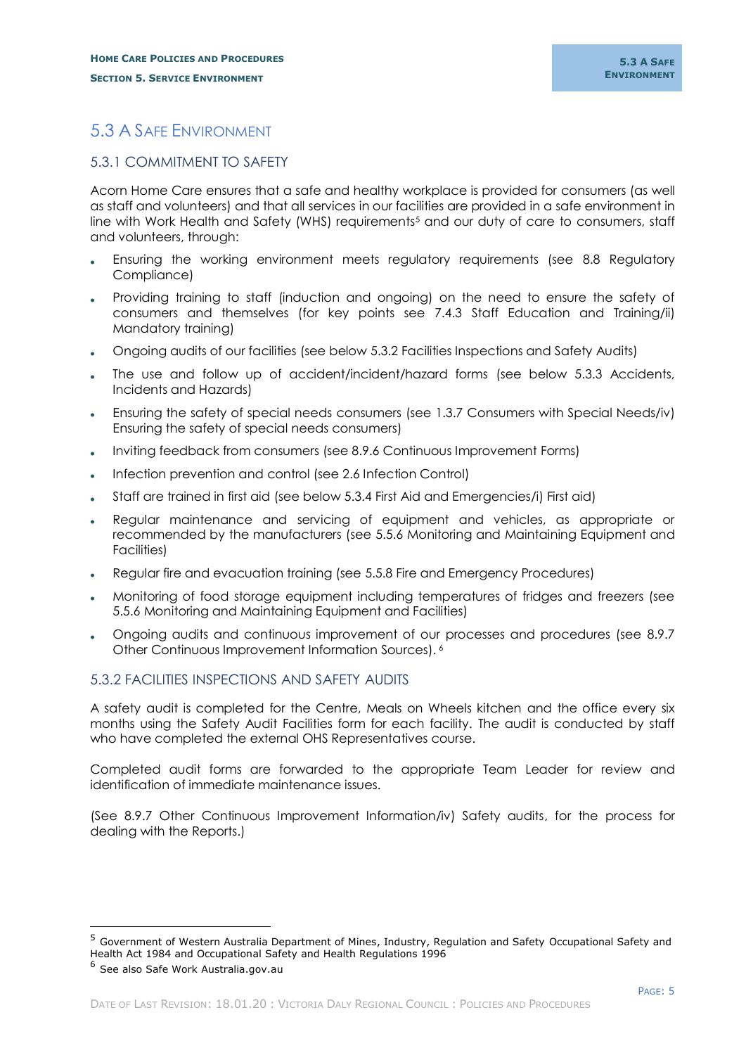# <span id="page-6-0"></span>5.3 A SAFE ENVIRONMENT

# <span id="page-6-1"></span>5.3.1 COMMITMENT TO SAFETY

Acorn Home Care ensures that a safe and healthy workplace is provided for consumers (as well as staff and volunteers) and that all services in our facilities are provided in a safe environment in line with Work Health and Safety (WHS) requirements<sup>5</sup> and our duty of care to consumers, staff and volunteers, through:

- Ensuring the working environment meets regulatory requirements (see 8.8 Regulatory Compliance)
- Providing training to staff (induction and ongoing) on the need to ensure the safety of consumers and themselves (for key points see 7.4.3 Staff Education and Training/ii) Mandatory training)
- Ongoing audits of our facilities (see below 5.3.2 Facilities Inspections and Safety Audits)
- The use and follow up of accident/incident/hazard forms (see below 5.3.3 Accidents, Incidents and Hazards)
- Ensuring the safety of special needs consumers (see 1.3.7 Consumers with Special Needs/iv) Ensuring the safety of special needs consumers)
- Inviting feedback from consumers (see 8.9.6 Continuous Improvement Forms)
- Infection prevention and control (see 2.6 Infection Control)
- Staff are trained in first aid (see below 5.3.4 First Aid and Emergencies/i) First aid)
- Regular maintenance and servicing of equipment and vehicles, as appropriate or recommended by the manufacturers (see 5.5.6 Monitoring and Maintaining Equipment and Facilities)
- Regular fire and evacuation training (see 5.5.8 Fire and Emergency Procedures)
- Monitoring of food storage equipment including temperatures of fridges and freezers (see 5.5.6 Monitoring and Maintaining Equipment and Facilities)
- Ongoing audits and continuous improvement of our processes and procedures (see 8.9.7 Other Continuous Improvement Information Sources). 6

# <span id="page-6-2"></span>5.3.2 FACILITIES INSPECTIONS AND SAFETY AUDITS

A safety audit is completed for the Centre, Meals on Wheels kitchen and the office every six months using the Safety Audit Facilities form for each facility. The audit is conducted by staff who have completed the external OHS Representatives course.

Completed audit forms are forwarded to the appropriate Team Leader for review and identification of immediate maintenance issues.

(See 8.9.7 Other Continuous Improvement Information/iv) Safety audits, for the process for dealing with the Reports.)

-

<sup>5</sup> Government of Western Australia Department of Mines, Industry, Regulation and Safety Occupational Safety and Health Act 1984 and Occupational Safety and Health Regulations 1996

<sup>&</sup>lt;sup>6</sup> See also Safe Work Australia.gov.au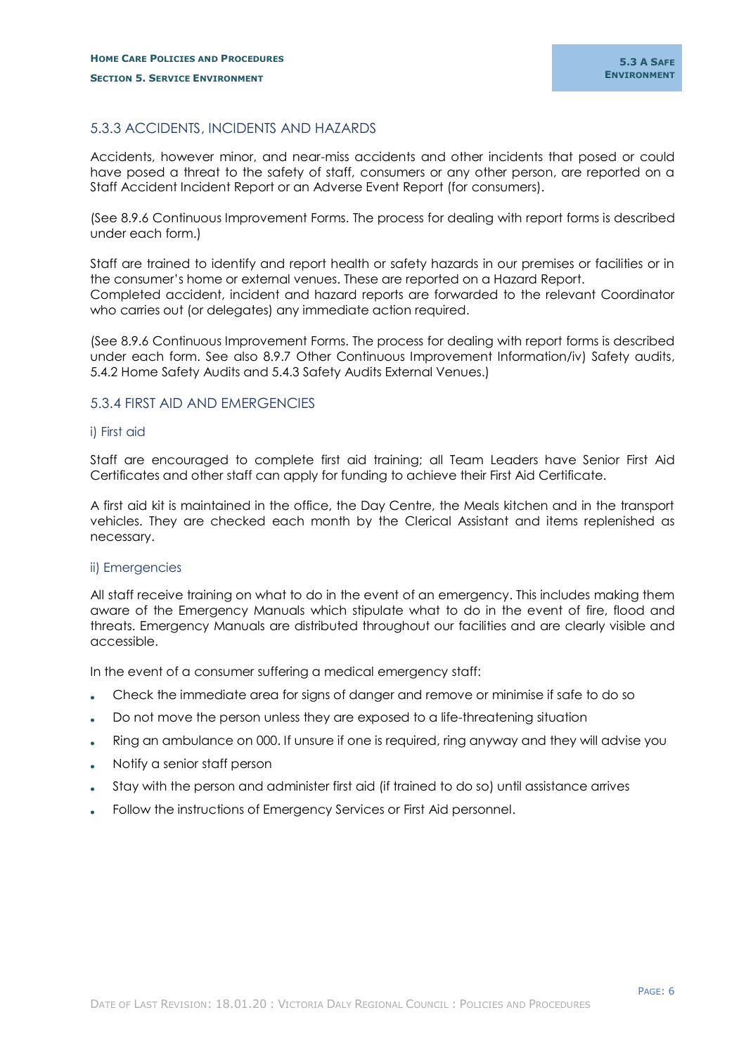# <span id="page-7-0"></span>5.3.3 ACCIDENTS, INCIDENTS AND HAZARDS

Accidents, however minor, and near-miss accidents and other incidents that posed or could have posed a threat to the safety of staff, consumers or any other person, are reported on a Staff Accident Incident Report or an Adverse Event Report (for consumers).

(See 8.9.6 Continuous Improvement Forms. The process for dealing with report forms is described under each form.)

Staff are trained to identify and report health or safety hazards in our premises or facilities or in the consumer's home or external venues. These are reported on a Hazard Report. Completed accident, incident and hazard reports are forwarded to the relevant Coordinator who carries out (or delegates) any immediate action required.

(See 8.9.6 Continuous Improvement Forms. The process for dealing with report forms is described under each form. See also 8.9.7 Other Continuous Improvement Information/iv) Safety audits, 5.4.2 Home Safety Audits and 5.4.3 Safety Audits External Venues.)

# <span id="page-7-1"></span>5.3.4 FIRST AID AND EMERGENCIES

#### <span id="page-7-2"></span>i) First aid

Staff are encouraged to complete first aid training; all Team Leaders have Senior First Aid Certificates and other staff can apply for funding to achieve their First Aid Certificate.

A first aid kit is maintained in the office, the Day Centre, the Meals kitchen and in the transport vehicles. They are checked each month by the Clerical Assistant and items replenished as necessary.

#### <span id="page-7-3"></span>ii) Emergencies

All staff receive training on what to do in the event of an emergency. This includes making them aware of the Emergency Manuals which stipulate what to do in the event of fire, flood and threats. Emergency Manuals are distributed throughout our facilities and are clearly visible and accessible.

In the event of a consumer suffering a medical emergency staff:

- Check the immediate area for signs of danger and remove or minimise if safe to do so
- Do not move the person unless they are exposed to a life-threatening situation
- Ring an ambulance on 000. If unsure if one is required, ring anyway and they will advise you
- Notify a senior staff person
- Stay with the person and administer first aid (if trained to do so) until assistance arrives
- Follow the instructions of Emergency Services or First Aid personnel.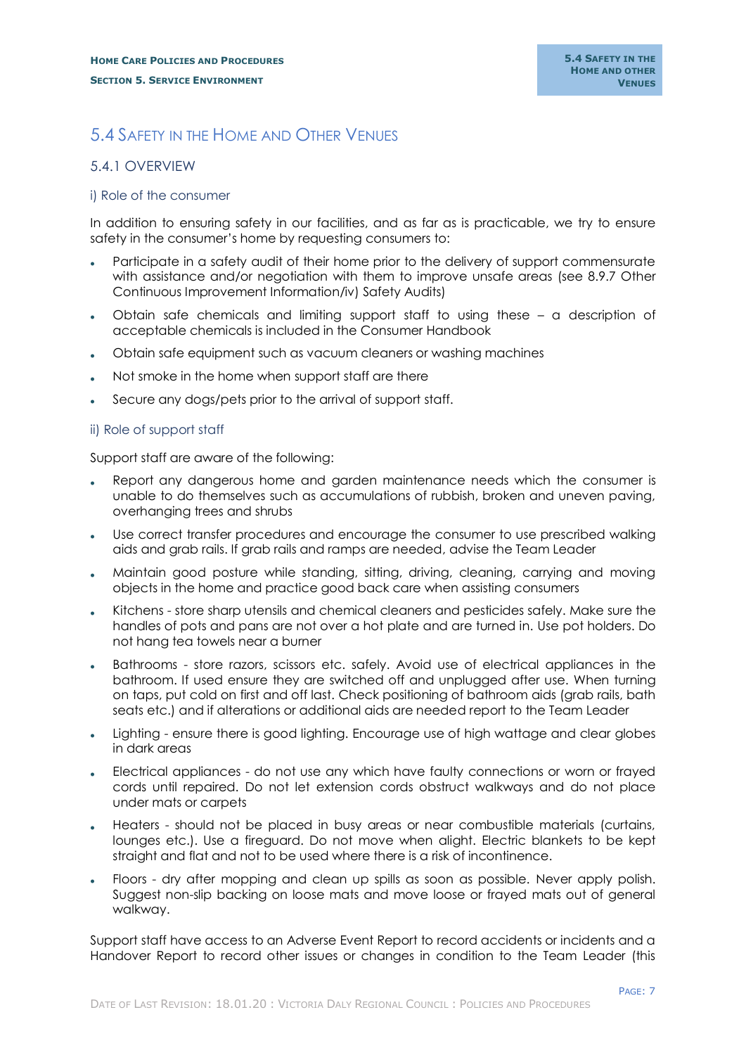# <span id="page-8-0"></span>5.4 SAFETY IN THE HOME AND OTHER VENUES

# <span id="page-8-1"></span>5.4.1 OVERVIEW

#### <span id="page-8-2"></span>i) Role of the consumer

In addition to ensuring safety in our facilities, and as far as is practicable, we try to ensure safety in the consumer's home by requesting consumers to:

- Participate in a safety audit of their home prior to the delivery of support commensurate with assistance and/or negotiation with them to improve unsafe areas (see 8.9.7 Other Continuous Improvement Information/iv) Safety Audits)
- Obtain safe chemicals and limiting support staff to using these a description of acceptable chemicals is included in the Consumer Handbook
- Obtain safe equipment such as vacuum cleaners or washing machines
- Not smoke in the home when support staff are there
- Secure any dogs/pets prior to the arrival of support staff.

#### <span id="page-8-3"></span>ii) Role of support staff

Support staff are aware of the following:

- Report any dangerous home and garden maintenance needs which the consumer is unable to do themselves such as accumulations of rubbish, broken and uneven paving, overhanging trees and shrubs
- Use correct transfer procedures and encourage the consumer to use prescribed walking aids and grab rails. If grab rails and ramps are needed, advise the Team Leader
- Maintain good posture while standing, sitting, driving, cleaning, carrying and moving objects in the home and practice good back care when assisting consumers
- Kitchens store sharp utensils and chemical cleaners and pesticides safely. Make sure the handles of pots and pans are not over a hot plate and are turned in. Use pot holders. Do not hang tea towels near a burner
- Bathrooms store razors, scissors etc. safely. Avoid use of electrical appliances in the bathroom. If used ensure they are switched off and unplugged after use. When turning on taps, put cold on first and off last. Check positioning of bathroom aids (grab rails, bath seats etc.) and if alterations or additional aids are needed report to the Team Leader
- Lighting ensure there is good lighting. Encourage use of high wattage and clear globes in dark areas
- Electrical appliances do not use any which have faulty connections or worn or frayed cords until repaired. Do not let extension cords obstruct walkways and do not place under mats or carpets
- Heaters should not be placed in busy areas or near combustible materials (curtains, lounges etc.). Use a fireguard. Do not move when alight. Electric blankets to be kept straight and flat and not to be used where there is a risk of incontinence.
- Floors dry after mopping and clean up spills as soon as possible. Never apply polish. Suggest non-slip backing on loose mats and move loose or frayed mats out of general walkway.

Support staff have access to an Adverse Event Report to record accidents or incidents and a Handover Report to record other issues or changes in condition to the Team Leader (this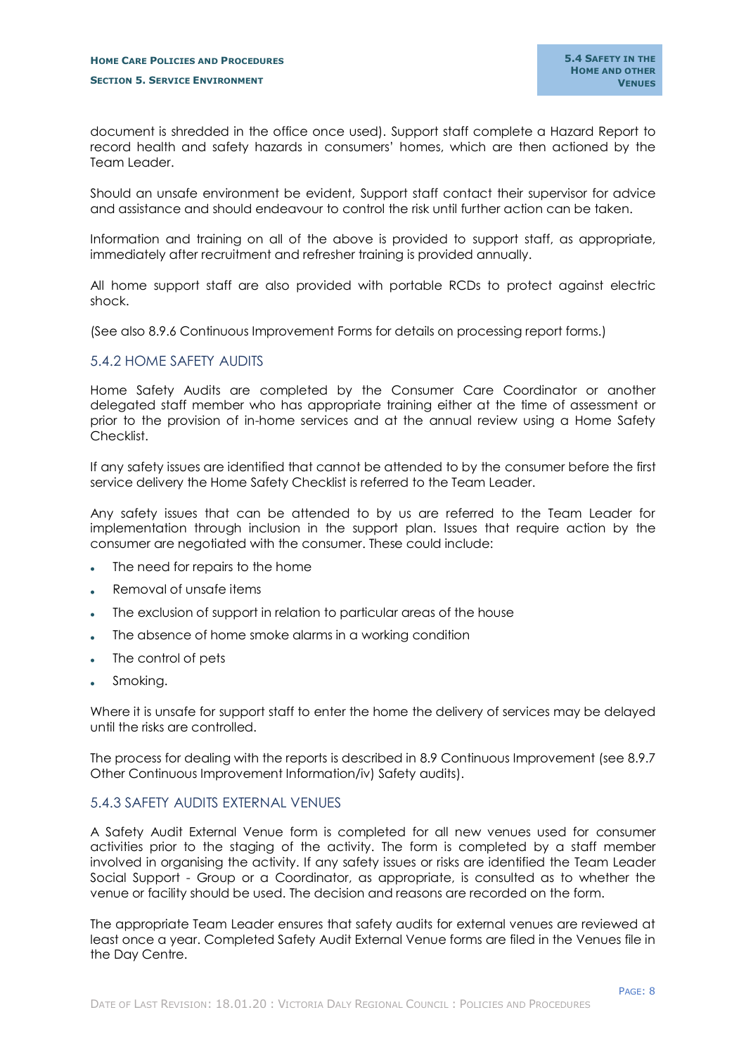document is shredded in the office once used). Support staff complete a Hazard Report to record health and safety hazards in consumers' homes, which are then actioned by the Team Leader.

Should an unsafe environment be evident, Support staff contact their supervisor for advice and assistance and should endeavour to control the risk until further action can be taken.

Information and training on all of the above is provided to support staff, as appropriate, immediately after recruitment and refresher training is provided annually.

All home support staff are also provided with portable RCDs to protect against electric shock.

(See also 8.9.6 Continuous Improvement Forms for details on processing report forms.)

### <span id="page-9-0"></span>5.4.2 HOME SAFETY AUDITS

Home Safety Audits are completed by the Consumer Care Coordinator or another delegated staff member who has appropriate training either at the time of assessment or prior to the provision of in-home services and at the annual review using a Home Safety Checklist.

If any safety issues are identified that cannot be attended to by the consumer before the first service delivery the Home Safety Checklist is referred to the Team Leader.

Any safety issues that can be attended to by us are referred to the Team Leader for implementation through inclusion in the support plan. Issues that require action by the consumer are negotiated with the consumer. These could include:

- The need for repairs to the home
- Removal of unsafe items
- The exclusion of support in relation to particular areas of the house
- The absence of home smoke alarms in a working condition
- The control of pets
- Smoking.

Where it is unsafe for support staff to enter the home the delivery of services may be delayed until the risks are controlled.

The process for dealing with the reports is described in 8.9 Continuous Improvement (see 8.9.7 Other Continuous Improvement Information/iv) Safety audits).

#### <span id="page-9-1"></span>5.4.3 SAFETY AUDITS EXTERNAL VENUES

A Safety Audit External Venue form is completed for all new venues used for consumer activities prior to the staging of the activity. The form is completed by a staff member involved in organising the activity. If any safety issues or risks are identified the Team Leader Social Support - Group or a Coordinator, as appropriate, is consulted as to whether the venue or facility should be used. The decision and reasons are recorded on the form.

The appropriate Team Leader ensures that safety audits for external venues are reviewed at least once a year. Completed Safety Audit External Venue forms are filed in the Venues file in the Day Centre.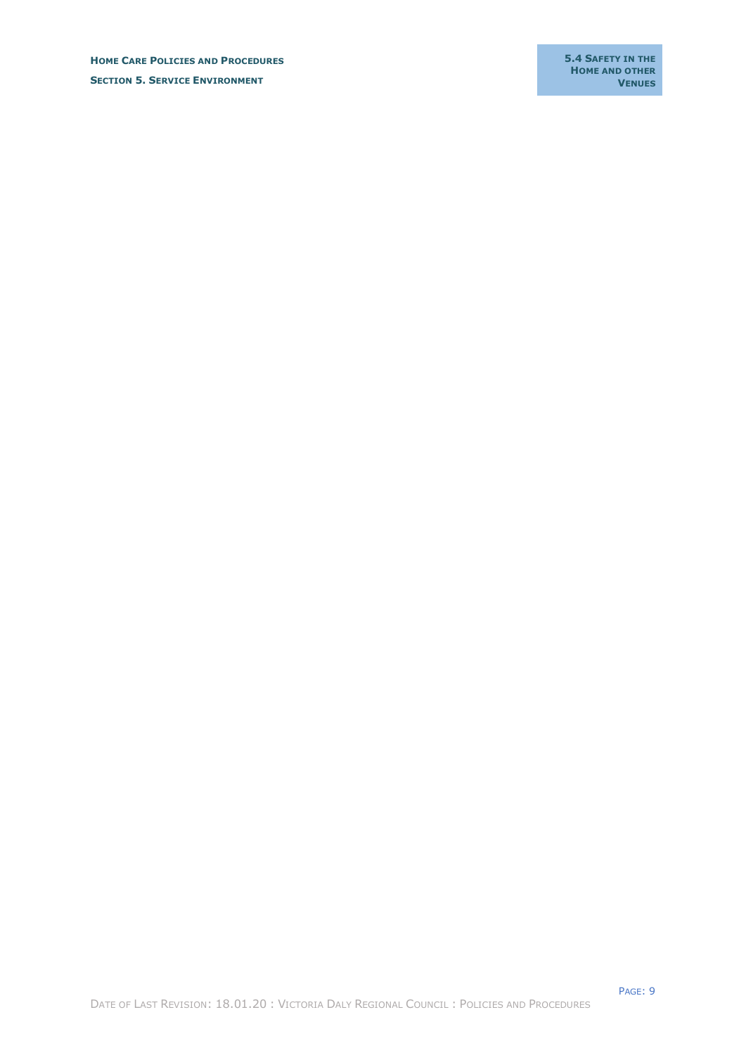**HOME CARE POLICIES AND PROCEDURES SECTION 5. SERVICE ENVIRONMENT**

PAGE: 9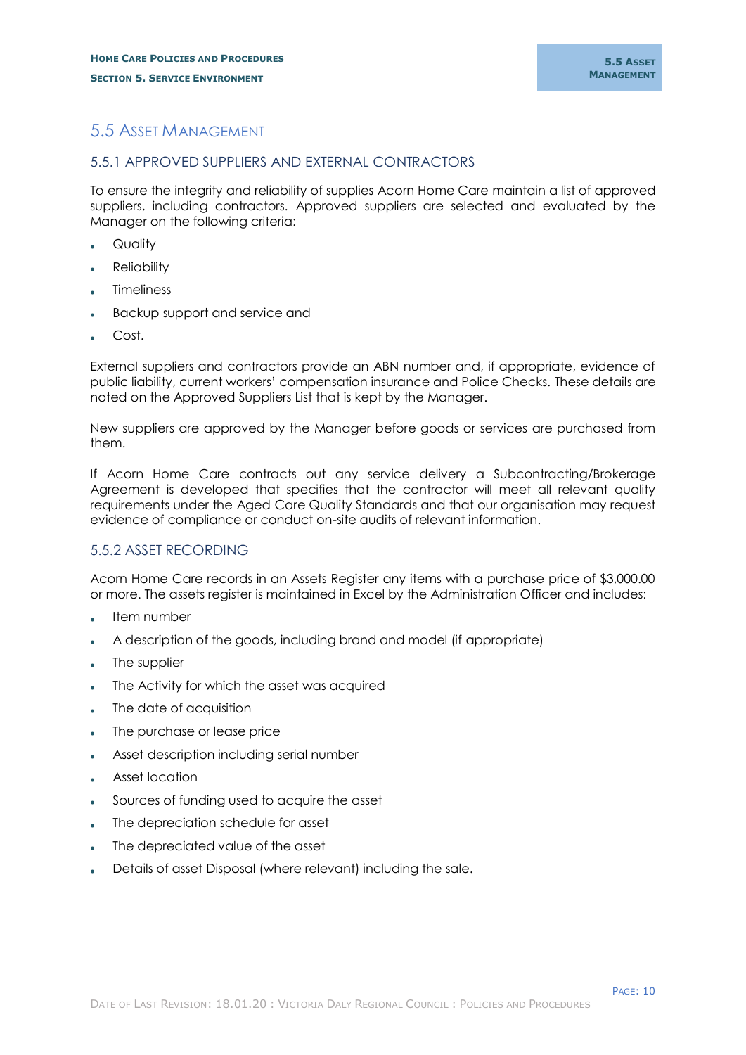# <span id="page-11-0"></span>5.5 ASSET MANAGEMENT

# <span id="page-11-1"></span>5.5.1 APPROVED SUPPLIERS AND EXTERNAL CONTRACTORS

To ensure the integrity and reliability of supplies Acorn Home Care maintain a list of approved suppliers, including contractors. Approved suppliers are selected and evaluated by the Manager on the following criteria:

- **Quality**
- **Reliability**
- **Timeliness**
- Backup support and service and
- Cost.

External suppliers and contractors provide an ABN number and, if appropriate, evidence of public liability, current workers' compensation insurance and Police Checks. These details are noted on the Approved Suppliers List that is kept by the Manager.

New suppliers are approved by the Manager before goods or services are purchased from them.

If Acorn Home Care contracts out any service delivery a Subcontracting/Brokerage Agreement is developed that specifies that the contractor will meet all relevant quality requirements under the Aged Care Quality Standards and that our organisation may request evidence of compliance or conduct on-site audits of relevant information.

#### <span id="page-11-2"></span>5.5.2 ASSET RECORDING

Acorn Home Care records in an Assets Register any items with a purchase price of \$3,000.00 or more. The assets register is maintained in Excel by the Administration Officer and includes:

- Item number
- A description of the goods, including brand and model (if appropriate)
- The supplier
- The Activity for which the asset was acquired
- The date of acquisition
- The purchase or lease price
- Asset description including serial number
- Asset location
- Sources of funding used to acquire the asset
- The depreciation schedule for asset
- The depreciated value of the asset
- Details of asset Disposal (where relevant) including the sale.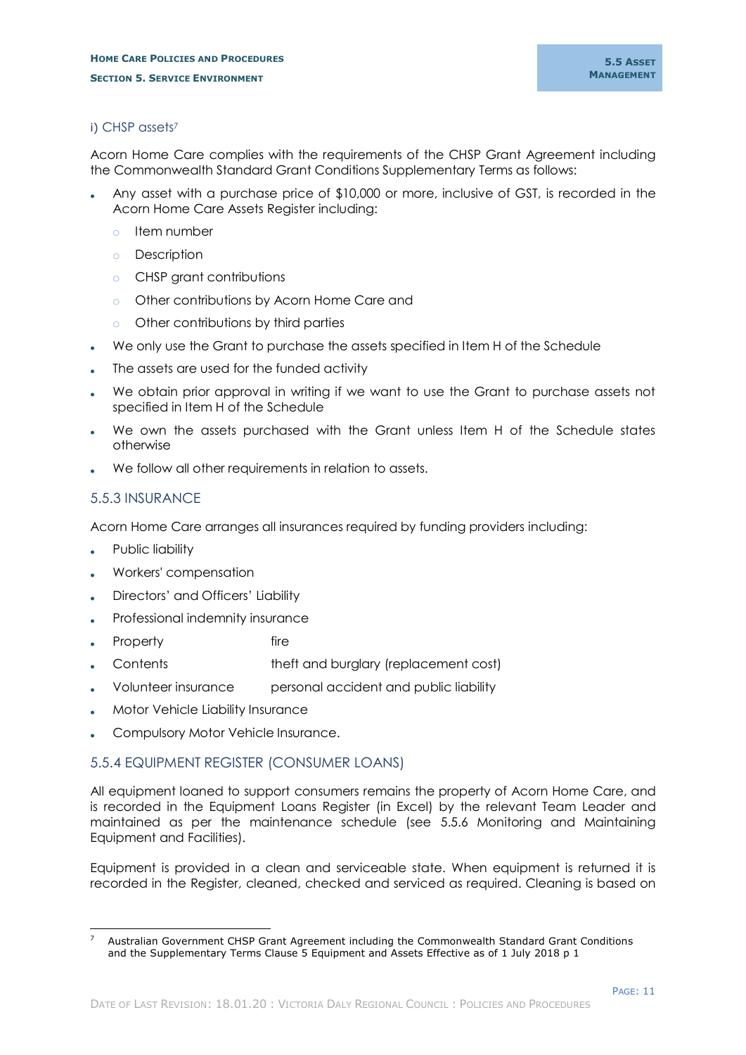#### <span id="page-12-0"></span>i) CHSP assets<sup>7</sup>

Acorn Home Care complies with the requirements of the CHSP Grant Agreement including the Commonwealth Standard Grant Conditions Supplementary Terms as follows:

- Any asset with a purchase price of \$10,000 or more, inclusive of GST, is recorded in the Acorn Home Care Assets Register including:
	- o Item number
	- o Description
	- o CHSP grant contributions
	- o Other contributions by Acorn Home Care and
	- o Other contributions by third parties
- We only use the Grant to purchase the assets specified in Item H of the Schedule
- The assets are used for the funded activity
- We obtain prior approval in writing if we want to use the Grant to purchase assets not specified in Item H of the Schedule
- We own the assets purchased with the Grant unless Item H of the Schedule states otherwise
- We follow all other requirements in relation to assets.

#### <span id="page-12-1"></span>5.5.3 INSURANCE

Acorn Home Care arranges all insurances required by funding providers including:

Public liability

-

- Workers' compensation
- Directors' and Officers' Liability
- Professional indemnity insurance
- Property fire
- Contents theft and burglary (replacement cost)
- Volunteer insurance personal accident and public liability
- Motor Vehicle Liability Insurance
- Compulsory Motor Vehicle Insurance.

#### <span id="page-12-2"></span>5.5.4 EQUIPMENT REGISTER (CONSUMER LOANS)

All equipment loaned to support consumers remains the property of Acorn Home Care, and is recorded in the Equipment Loans Register (in Excel) by the relevant Team Leader and maintained as per the maintenance schedule (see 5.5.6 Monitoring and Maintaining Equipment and Facilities).

Equipment is provided in a clean and serviceable state. When equipment is returned it is recorded in the Register, cleaned, checked and serviced as required. Cleaning is based on

<sup>7</sup> Australian Government CHSP Grant Agreement including the Commonwealth Standard Grant Conditions and the Supplementary Terms Clause 5 Equipment and Assets Effective as of 1 July 2018 p 1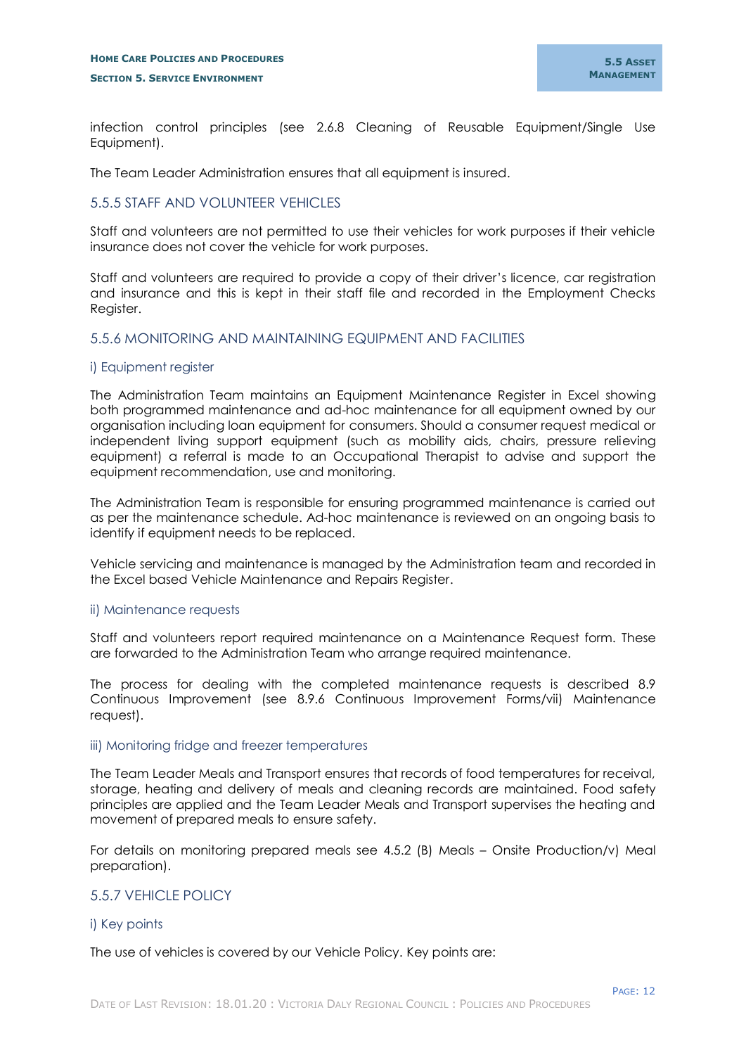infection control principles (see 2.6.8 Cleaning of Reusable Equipment/Single Use Equipment).

The Team Leader Administration ensures that all equipment is insured.

#### <span id="page-13-0"></span>5.5.5 STAFF AND VOLUNTEER VEHICLES

Staff and volunteers are not permitted to use their vehicles for work purposes if their vehicle insurance does not cover the vehicle for work purposes.

Staff and volunteers are required to provide a copy of their driver's licence, car registration and insurance and this is kept in their staff file and recorded in the Employment Checks Register.

### <span id="page-13-1"></span>5.5.6 MONITORING AND MAINTAINING EQUIPMENT AND FACILITIES

#### <span id="page-13-2"></span>i) Equipment register

The Administration Team maintains an Equipment Maintenance Register in Excel showing both programmed maintenance and ad-hoc maintenance for all equipment owned by our organisation including loan equipment for consumers. Should a consumer request medical or independent living support equipment (such as mobility aids, chairs, pressure relieving equipment) a referral is made to an Occupational Therapist to advise and support the equipment recommendation, use and monitoring.

The Administration Team is responsible for ensuring programmed maintenance is carried out as per the maintenance schedule. Ad-hoc maintenance is reviewed on an ongoing basis to identify if equipment needs to be replaced.

Vehicle servicing and maintenance is managed by the Administration team and recorded in the Excel based Vehicle Maintenance and Repairs Register.

#### <span id="page-13-3"></span>ii) Maintenance requests

Staff and volunteers report required maintenance on a Maintenance Request form. These are forwarded to the Administration Team who arrange required maintenance.

The process for dealing with the completed maintenance requests is described 8.9 Continuous Improvement (see 8.9.6 Continuous Improvement Forms/vii) Maintenance request).

#### <span id="page-13-4"></span>iii) Monitoring fridge and freezer temperatures

The Team Leader Meals and Transport ensures that records of food temperatures for receival, storage, heating and delivery of meals and cleaning records are maintained. Food safety principles are applied and the Team Leader Meals and Transport supervises the heating and movement of prepared meals to ensure safety.

For details on monitoring prepared meals see 4.5.2 (B) Meals – Onsite Production/v) Meal preparation).

#### <span id="page-13-5"></span>5.5.7 VEHICLE POLICY

#### <span id="page-13-6"></span>i) Key points

The use of vehicles is covered by our Vehicle Policy. Key points are: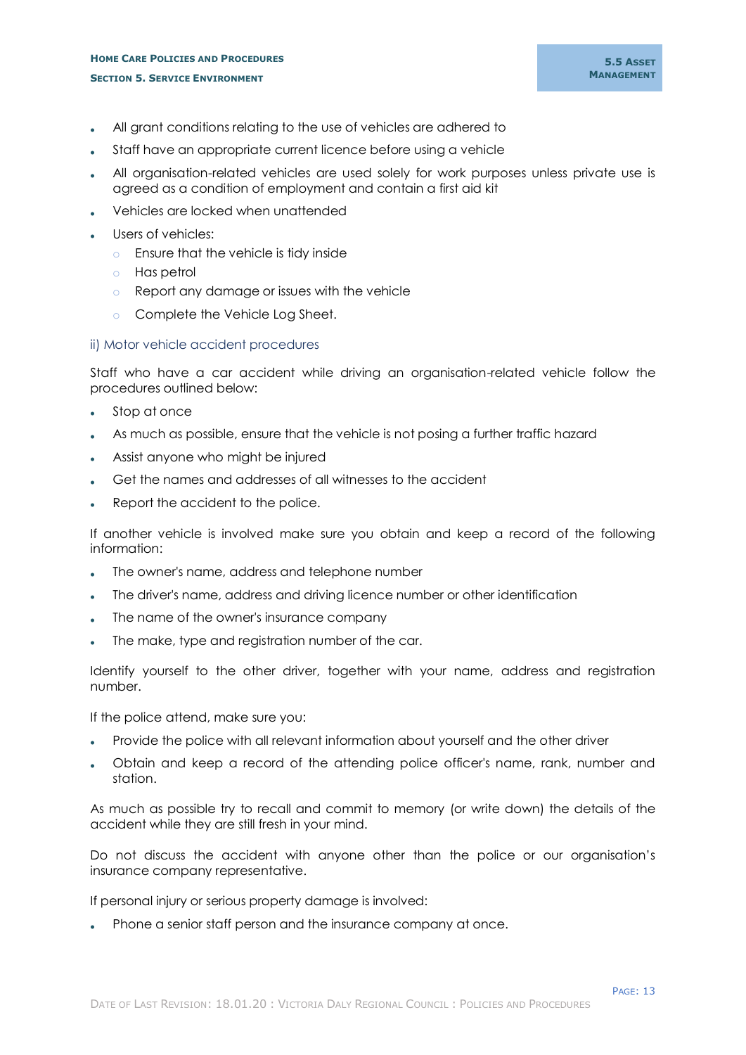### **HOME CARE POLICIES AND PROCEDURES SECTION 5. SERVICE ENVIRONMENT**

- All grant conditions relating to the use of vehicles are adhered to
- Staff have an appropriate current licence before using a vehicle
- All organisation-related vehicles are used solely for work purposes unless private use is agreed as a condition of employment and contain a first aid kit
- Vehicles are locked when unattended
- Users of vehicles:
	- o Ensure that the vehicle is tidy inside
	- o Has petrol
	- o Report any damage or issues with the vehicle
	- o Complete the Vehicle Log Sheet.

#### <span id="page-14-0"></span>ii) Motor vehicle accident procedures

Staff who have a car accident while driving an organisation-related vehicle follow the procedures outlined below:

- Stop at once
- As much as possible, ensure that the vehicle is not posing a further traffic hazard
- Assist anyone who might be injured
- Get the names and addresses of all witnesses to the accident
- Report the accident to the police.

If another vehicle is involved make sure you obtain and keep a record of the following information:

- The owner's name, address and telephone number
- The driver's name, address and driving licence number or other identification
- The name of the owner's insurance company
- The make, type and registration number of the car.

Identify yourself to the other driver, together with your name, address and registration number.

If the police attend, make sure you:

- Provide the police with all relevant information about yourself and the other driver
- Obtain and keep a record of the attending police officer's name, rank, number and station.

As much as possible try to recall and commit to memory (or write down) the details of the accident while they are still fresh in your mind.

Do not discuss the accident with anyone other than the police or our organisation's insurance company representative.

If personal injury or serious property damage is involved:

Phone a senior staff person and the insurance company at once.